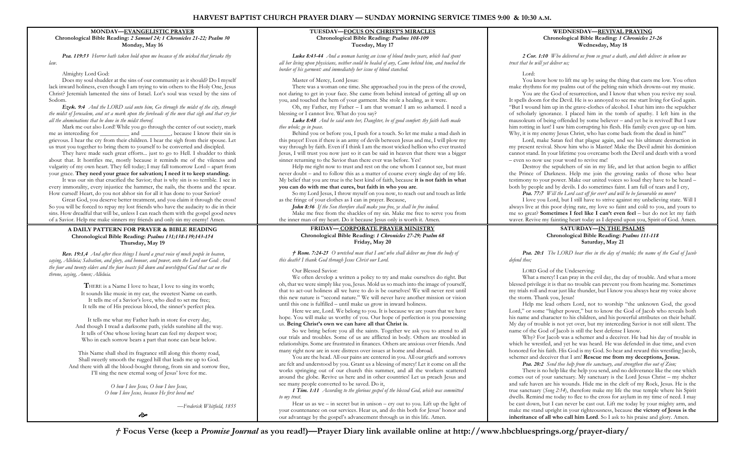# **HARVEST BAPTIST CHURCH PRAYER DIARY — SUNDAY MORNING SERVICE TIMES 9:00 & 10:30 A.M.**

# **MONDAY—EVANGELISTIC PRAYER Chronological Bible Reading:** *2 Samuel 24; 1 Chronicles 21-22; Psalm 30* **Monday, May 16**

*Psa. 119:53 Horror hath taken hold upon me because of the wicked that forsake thy law.*

#### Almighty Lord God:

Does my soul shudder at the sins of our community as it should? Do I myself lack inward holiness, even though I am trying to win others to the Holy One, Jesus Christ? Jeremiah lamented the sins of Israel. Lot's soul was vexed by the sins of Sodom.

*Ezek. 9:4 And the LORD said unto him, Go through the midst of the city, through the midst of Jerusalem, and set a mark upon the foreheads of the men that sigh and that cry for all the abominations that be done in the midst thereof.*

Mark me out also Lord! While you go through the center of out society, mark me as interceding for \_\_\_\_\_\_\_\_\_\_ and \_\_\_\_\_\_\_\_, because I know their sin is grievous. I hear the cry from their children. I hear the sigh from their spouse. Let us trust you together to bring them to yourself to be converted and discipled.

They have made such great efforts... just to go to Hell. I shudder to think about that. It horrifies me, mostly because it reminds me of the vileness and vulgarity of my own heart. They fell today; I may fall tomorrow Lord – apart from your grace. **They need your grace for salvation; I need it to keep standing.**

It was our sin that crucified the Savior; that is why sin is so terrible. I see in every immorality, every injustice the hammer, the nails, the thorns and the spear.

How cursed! Heart, do you not abhor sin for all it has done to your Savior? Great God, you deserve better treatment, and you claim it through the cross! So you will be forced to repay my lost friends who have the audacity to die in their sins. How dreadful that will be, unless I can reach them with the gospel good news of a Savior. Help me make sinners my friends and only sin my enemy! Amen.

#### **A DAILY PATTERN FOR PRAYER & BIBLE READING Chronological Bible Reading:** *Psalms 131;138-139;143-154* **Thursday, May 19**

*Rev. 19:1,4 And after these things I heard a great voice of much people in heaven, saying, Alleluia; Salvation, and glory, and honour, and power, unto the Lord our God: And the four and twenty elders and the four beasts fell down and worshipped God that sat on the throne, saying, Amen; Alleluia.*

> **T**HERE is a Name I love to hear, I love to sing its worth; It sounds like music in my ear, the sweetest Name on earth. It tells me of a Savior's love, who died to set me free; It tells me of His precious blood, the sinner's perfect plea.

It tells me what my Father hath in store for every day, And though I tread a darksome path, yields sunshine all the way. It tells of One whose loving heart can feel my deepest woe; Who in each sorrow bears a part that none can bear below.

This Name shall shed its fragrance still along this thorny road, Shall sweetly smooth the rugged hill that leads me up to God. And there with all the blood-bought throng, from sin and sorrow free, I'll sing the new eternal song of Jesus' love for me.

> *O how I love Jesus, O how I love Jesus, O how I love Jesus, because He first loved me!*

> > Ò

*—Frederick Whitfield, 1855*

# **TUESDAY—FOCUS ON CHRIST'S MIRACLES Chronological Bible Reading:** *Psalms 108-109* **Tuesday, May 17**

*Luke 8:43-44 And a woman having an issue of blood twelve years, which had spent all her living upon physicians, neither could be healed of any, Came behind him, and touched the border of his garment: and immediately her issue of blood stanched.*

Master of Mercy, Lord Jesus:

There was a woman one time. She approached you in the press of the crowd, not daring to get in your face. She came from behind instead of getting all up on you, and touched the hem of your garment. She stole a healing, as it were.

Oh, my Father, my Father – I am that woman! I am so ashamed. I need a blessing or I cannot live. What do you say?

*Luke 8:48 And he said unto her, Daughter, be of good comfort: thy faith hath made thee whole; go in peace.*

Behind you or before you, I push for a touch. So let me make a mad dash in this prayer! Even if there is an army of devils between Jesus and me, I will plow my way through by faith. Even if I think I am the most wicked hellion who ever trusted Jesus, I will trust you now just so it can be said in heaven that there was a bigger sinner returning to the Savior than there ever was before. Yes!

Help me right now to trust and rest on the one whom I cannot see, but must never doubt – and to follow this as a matter of course every single day of my life. My belief that you are true is the best kind of faith, because **it is not faith in what** 

# **you can do with me that cures, but faith in who you are**.

So my Lord Jesus, I throw myself on you now, to reach out and touch as little as the fringe of your clothes as I can in prayer. Because,

*John 8:36 If the Son therefore shall make you free, ye shall be free indeed.* Make me free from the shackles of my sin. Make me free to serve you from the inner man of my heart. Do it because Jesus only is worth it. Amen.

## **FRIDAY— CORPORATE PRAYER MINISTRY Chronological Bible Reading:** *1 Chronicles 27-29; Psalm 68* **Friday, May 20**

*† Rom. 7:24-25 O wretched man that I am! who shall deliver me from the body of this death? I thank God through Jesus Christ our Lord.*

Our Blessed Savior:

We often develop a written a policy to try and make ourselves do right. But oh, that we were simply like you, Jesus. Mold us so much into the image of yourself, that to act-out holiness all we have to do is be ourselves! We will never rest until this new nature is "second nature." We will never have another mission or vision until this one is fulfilled – until make us grow in inward holiness.

Here we are, Lord. We belong to you. It is because we are yours that we have hope. You will make us worthy of you. Our hope of perfection is you possessing us. **Being Christ's own we can have all that Christ is**.

So we bring before you all the saints. Together we ask you to attend to all our trials and troubles. Some of us are afflicted in body. Others are troubled in relationships. Some are frustrated in finances. Others are anxious over friends. And many right now are in sore distress over issues at home and abroad.

You are the head. All our pains are centered in you. All our griefs and sorrows are felt and understood by you. Grant us a blessing of mercy! Let it come on all the works springing out of our church this summer, and all the workers scattered around the globe. Revive us here and in other countries! Let us preach Jesus and see many people converted to be saved. Do it,

*1 Tim. 1:11 According to the glorious gospel of the blessed God, which was committed to my trust.*

Hear us as we – in secret but in unison – cry out to you. Lift up the light of your countenance on our services. Hear us, and do this both for Jesus' honor and our advantage by the gospel's advancement through us in this life. Amen.

# **WEDNESDAY—REVIVAL PRAYING Chronological Bible Reading:** *1 Chronicles 23-26* **Wednesday, May 18**

*2 Cor. 1:10 Who delivered us from so great a death, and doth deliver: in whom we trust that he will yet deliver us;*

Lord:

You know how to lift me up by using the thing that casts me low. You often make rhythms for my psalms out of the pelting rain which drowns-out my music.

You are the God of resurrection, and I know that when you revive my soul. It spells doom for the Devil. He is so annoyed to see me start living for God again. "But I wound him up in the grave-clothes of alcohol. I shut him into the sepulcher of scholarly ignorance. I placed him in the tomb of apathy. I left him in the mausoleum of being offended by some believer – and yet he is revived! But I saw him rotting in lust! I saw him corrupting his flesh. His family even gave up on him. Why, it is my enemy Jesus Christ, who has come back from the dead in him!"

Lord, make Satan feel that plague again, and see his ultimate destruction in my present revival. Show him who is Master! Make the Devil admit his dominion cannot stand. In your lifetime you overcame both the Devil and death with a word – even so now use your word to revive me!

Destroy the sepulchers of sin in my life, and let that action begin to afflict the Prince of Darkness. Help me join the growing ranks of those who bear testimony to your power. Make our united voices so loud they have to be heard – both by people and by devils. I do sometimes faint. I am full of tears and I cry,

*Psa. 77:7 Will the Lord cast off for ever? and will he be favourable no more?*

I love you Lord, but I still have to strive against my unbelieving state. Will I always live at this poor dying rate, my love so faint and cold to you, and yours to me so great? **Sometimes I feel like I can't even feel** – but do not let my faith waver. Revive my fainting heart today as I depend upon you, Spirit of God. Amen.

## **SATURDAY—IN THE PSALMS Chronological Bible Reading:** *Psalms 111-118* **Saturday, May 21**

*Psa. 20:1 The LORD hear thee in the day of trouble; the name of the God of Jacob defend thee;*

LORD God of the Undeserving:

What a mercy! I can pray in the evil day, the day of trouble. And what a more blessed privilege it is that no trouble can prevent you from hearing me. Sometimes my trials roll and roar just like thunder, but I know you always hear my voice above the storm. Thank you, Jesus!

Help me lead others Lord, not to worship "the unknown God, the good Lord," or some "higher power," but to know the God of Jacob who reveals both his name and character to his children, and his powerful attributes on their behalf. My day of trouble is not yet over, but my interceding Savior is not still silent. The name of the God of Jacob is still the best defense I know.

Why? For Jacob was a schemer and a deceiver. He had his day of trouble in which he wrestled, and yet he was heard. He was defended in due time, and even honored for his faith. His God is my God. So hear and reward this wrestling Jacob, schemer and deceiver that I am! **Rescue me from my deceptions, Jesus.**

*Psa. 20:2 Send thee help from the sanctuary, and strengthen thee out of Zion;*

There is no help like the help you send, and no deliverance like the one which comes out of your sanctuary. My sanctuary is the Lord Jesus Christ – my shelter and safe haven are his wounds. Hide me in the cleft of my Rock, Jesus. He is the true sanctuary (*Song 2:14*), therefore make my life the true temple where his Spirit dwells. Remind me today to flee to the cross for asylum in my time of need. I may be cast down, but I can never be cast out. Lift me today by your mighty arm, and make me stand upright in your righteousness, because **the victory of Jesus is the inheritance of all who call him Lord**. So I ask to his praise and glory. Amen.

*†* **Focus Verse (keep a** *Promise Journal* **as you read!)—Prayer Diary link available online at http://www.hbcbluesprings.org/prayer-diary/**